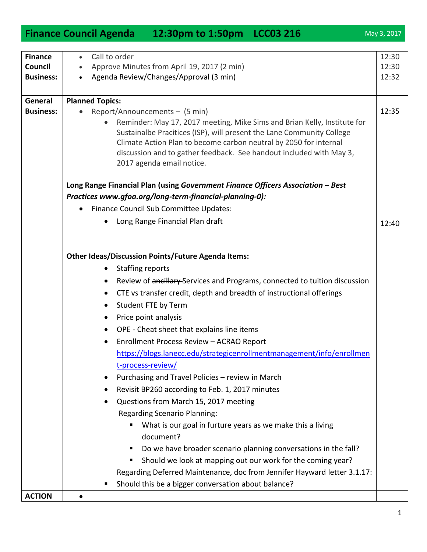|                                                      | Finance Council Agenda 12:30pm to 1:50pm LCC03 216                                                                                                                                                                                                                                                                                                                                                         | May 3, 2017             |
|------------------------------------------------------|------------------------------------------------------------------------------------------------------------------------------------------------------------------------------------------------------------------------------------------------------------------------------------------------------------------------------------------------------------------------------------------------------------|-------------------------|
| <b>Finance</b><br><b>Council</b><br><b>Business:</b> | Call to order<br>$\bullet$<br>Approve Minutes from April 19, 2017 (2 min)<br>Agenda Review/Changes/Approval (3 min)<br>$\bullet$                                                                                                                                                                                                                                                                           | 12:30<br>12:30<br>12:32 |
| General<br><b>Business:</b>                          | <b>Planned Topics:</b><br>Report/Announcements - (5 min)<br>Reminder: May 17, 2017 meeting, Mike Sims and Brian Kelly, Institute for<br>Sustainalbe Pracitices (ISP), will present the Lane Community College<br>Climate Action Plan to become carbon neutral by 2050 for internal<br>discussion and to gather feedback. See handout included with May 3,<br>2017 agenda email notice.                     | 12:35                   |
|                                                      | Long Range Financial Plan (using Government Finance Officers Association - Best<br>Practices www.gfoa.org/long-term-financial-planning-0):<br>Finance Council Sub Committee Updates:<br>$\bullet$<br>Long Range Financial Plan draft<br>$\bullet$                                                                                                                                                          | 12:40                   |
|                                                      | <b>Other Ideas/Discussion Points/Future Agenda Items:</b><br><b>Staffing reports</b><br>$\bullet$<br>Review of ancillary Services and Programs, connected to tuition discussion<br>$\bullet$<br>CTE vs transfer credit, depth and breadth of instructional offerings<br>٠<br>Student FTE by Term<br>$\bullet$<br>Price point analysis<br>$\bullet$                                                         |                         |
|                                                      | OPE - Cheat sheet that explains line items<br>$\bullet$<br>Enrollment Process Review - ACRAO Report<br>https://blogs.lanecc.edu/strategicenrollmentmanagement/info/enrollmen<br>t-process-review/<br>Purchasing and Travel Policies - review in March<br>$\bullet$<br>Revisit BP260 according to Feb. 1, 2017 minutes<br>٠<br>Questions from March 15, 2017 meeting<br><b>Regarding Scenario Planning:</b> |                         |
| <b>ACTION</b>                                        | What is our goal in furture years as we make this a living<br>document?<br>Do we have broader scenario planning conversations in the fall?<br>п<br>Should we look at mapping out our work for the coming year?<br>ш<br>Regarding Deferred Maintenance, doc from Jennifer Hayward letter 3.1.17:<br>Should this be a bigger conversation about balance?<br>п<br>$\bullet$                                   |                         |
|                                                      |                                                                                                                                                                                                                                                                                                                                                                                                            |                         |